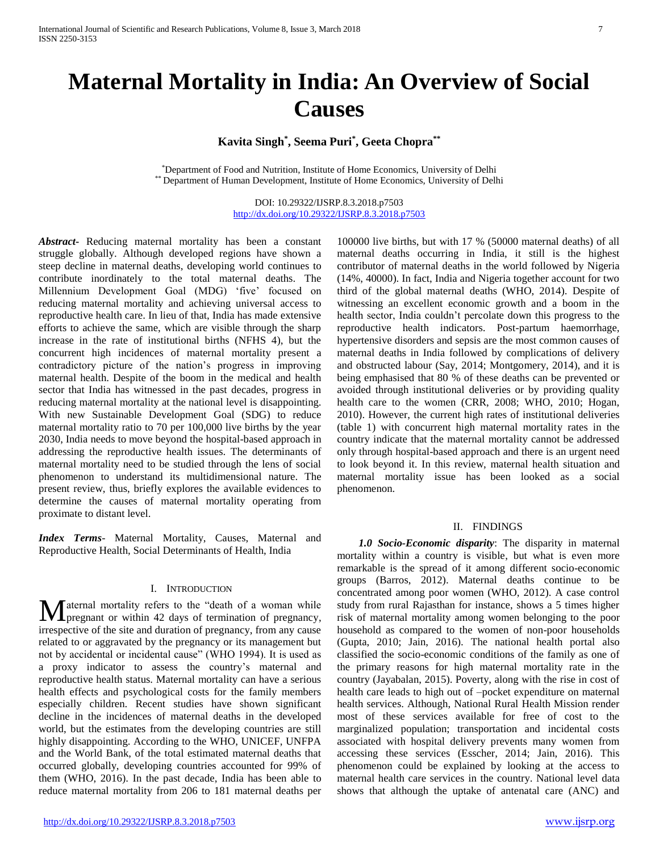# **Maternal Mortality in India: An Overview of Social Causes**

**Kavita Singh\* , Seema Puri\* , Geeta Chopra\*\***

\*Department of Food and Nutrition, Institute of Home Economics, University of Delhi \*\* Department of Human Development, Institute of Home Economics, University of Delhi

> DOI: 10.29322/IJSRP.8.3.2018.p7503 <http://dx.doi.org/10.29322/IJSRP.8.3.2018.p7503>

*Abstract***-** Reducing maternal mortality has been a constant struggle globally. Although developed regions have shown a steep decline in maternal deaths, developing world continues to contribute inordinately to the total maternal deaths. The Millennium Development Goal (MDG) 'five' focused on reducing maternal mortality and achieving universal access to reproductive health care. In lieu of that, India has made extensive efforts to achieve the same, which are visible through the sharp increase in the rate of institutional births (NFHS 4), but the concurrent high incidences of maternal mortality present a contradictory picture of the nation's progress in improving maternal health. Despite of the boom in the medical and health sector that India has witnessed in the past decades, progress in reducing maternal mortality at the national level is disappointing. With new Sustainable Development Goal (SDG) to reduce maternal mortality ratio to 70 per 100,000 live births by the year 2030, India needs to move beyond the hospital-based approach in addressing the reproductive health issues. The determinants of maternal mortality need to be studied through the lens of social phenomenon to understand its multidimensional nature. The present review, thus, briefly explores the available evidences to determine the causes of maternal mortality operating from proximate to distant level.

*Index Terms*- Maternal Mortality, Causes, Maternal and Reproductive Health, Social Determinants of Health, India

# I. INTRODUCTION

aternal mortality refers to the "death of a woman while Maternal mortality refers to the "death of a woman while<br>pregnant or within 42 days of termination of pregnancy, irrespective of the site and duration of pregnancy, from any cause related to or aggravated by the pregnancy or its management but not by accidental or incidental cause" (WHO 1994). It is used as a proxy indicator to assess the country's maternal and reproductive health status. Maternal mortality can have a serious health effects and psychological costs for the family members especially children. Recent studies have shown significant decline in the incidences of maternal deaths in the developed world, but the estimates from the developing countries are still highly disappointing. According to the WHO, UNICEF, UNFPA and the World Bank, of the total estimated maternal deaths that occurred globally, developing countries accounted for 99% of them (WHO, 2016). In the past decade, India has been able to reduce maternal mortality from 206 to 181 maternal deaths per

100000 live births, but with 17 % (50000 maternal deaths) of all maternal deaths occurring in India, it still is the highest contributor of maternal deaths in the world followed by Nigeria (14%, 40000). In fact, India and Nigeria together account for two third of the global maternal deaths (WHO, 2014). Despite of witnessing an excellent economic growth and a boom in the health sector, India couldn't percolate down this progress to the reproductive health indicators. Post-partum haemorrhage, hypertensive disorders and sepsis are the most common causes of maternal deaths in India followed by complications of delivery and obstructed labour (Say, 2014; Montgomery, 2014), and it is being emphasised that 80 % of these deaths can be prevented or avoided through institutional deliveries or by providing quality health care to the women (CRR, 2008; WHO, 2010; Hogan, 2010). However, the current high rates of institutional deliveries (table 1) with concurrent high maternal mortality rates in the country indicate that the maternal mortality cannot be addressed only through hospital-based approach and there is an urgent need to look beyond it. In this review, maternal health situation and maternal mortality issue has been looked as a social phenomenon.

### II. FINDINGS

 *1.0 Socio-Economic disparity*: The disparity in maternal mortality within a country is visible, but what is even more remarkable is the spread of it among different socio-economic groups (Barros, 2012). Maternal deaths continue to be concentrated among poor women (WHO, 2012). A case control study from rural Rajasthan for instance, shows a 5 times higher risk of maternal mortality among women belonging to the poor household as compared to the women of non-poor households (Gupta, 2010; Jain, 2016). The national health portal also classified the socio-economic conditions of the family as one of the primary reasons for high maternal mortality rate in the country (Jayabalan, 2015). Poverty, along with the rise in cost of health care leads to high out of –pocket expenditure on maternal health services. Although, National Rural Health Mission render most of these services available for free of cost to the marginalized population; transportation and incidental costs associated with hospital delivery prevents many women from accessing these services (Esscher, 2014; Jain, 2016). This phenomenon could be explained by looking at the access to maternal health care services in the country. National level data shows that although the uptake of antenatal care (ANC) and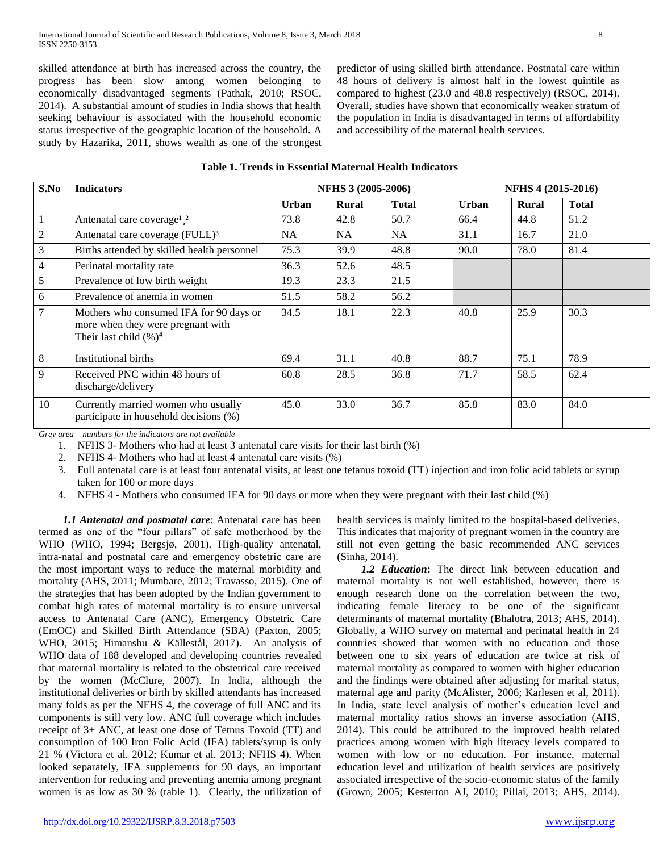skilled attendance at birth has increased across the country, the progress has been slow among women belonging to economically disadvantaged segments (Pathak, 2010; RSOC, 2014). A substantial amount of studies in India shows that health seeking behaviour is associated with the household economic status irrespective of the geographic location of the household. A study by Hazarika, 2011, shows wealth as one of the strongest

predictor of using skilled birth attendance. Postnatal care within 48 hours of delivery is almost half in the lowest quintile as compared to highest (23.0 and 48.8 respectively) (RSOC, 2014). Overall, studies have shown that economically weaker stratum of the population in India is disadvantaged in terms of affordability and accessibility of the maternal health services.

|  |  |  | Table 1. Trends in Essential Maternal Health Indicators |  |  |
|--|--|--|---------------------------------------------------------|--|--|
|--|--|--|---------------------------------------------------------|--|--|

| S.No | <b>Indicators</b>                                                                                         | <b>NFHS 3 (2005-2006)</b> |              |              |              | <b>NFHS 4 (2015-2016)</b> |              |  |
|------|-----------------------------------------------------------------------------------------------------------|---------------------------|--------------|--------------|--------------|---------------------------|--------------|--|
|      |                                                                                                           | <b>Urban</b>              | <b>Rural</b> | <b>Total</b> | <b>Urban</b> | Rural                     | <b>Total</b> |  |
|      | Antenatal care coverage <sup>1</sup> . <sup>2</sup>                                                       | 73.8                      | 42.8         | 50.7         | 66.4         | 44.8                      | 51.2         |  |
| 2    | Antenatal care coverage (FULL) <sup>3</sup>                                                               | NA.                       | NA.          | <b>NA</b>    | 31.1         | 16.7                      | 21.0         |  |
| 3    | Births attended by skilled health personnel                                                               | 75.3                      | 39.9         | 48.8         | 90.0         | 78.0                      | 81.4         |  |
| 4    | Perinatal mortality rate                                                                                  |                           | 52.6         | 48.5         |              |                           |              |  |
| 5    | Prevalence of low birth weight                                                                            | 19.3                      | 23.3         | 21.5         |              |                           |              |  |
| 6    | Prevalence of anemia in women                                                                             | 51.5                      | 58.2         | 56.2         |              |                           |              |  |
| 7    | Mothers who consumed IFA for 90 days or<br>more when they were pregnant with<br>Their last child $(\%)^4$ | 34.5                      | 18.1         | 22.3         | 40.8         | 25.9                      | 30.3         |  |
| 8    | Institutional births                                                                                      | 69.4                      | 31.1         | 40.8         | 88.7         | 75.1                      | 78.9         |  |
| 9    | Received PNC within 48 hours of<br>discharge/delivery                                                     | 60.8                      | 28.5         | 36.8         | 71.7         | 58.5                      | 62.4         |  |
| 10   | Currently married women who usually<br>participate in household decisions (%)                             | 45.0                      | 33.0         | 36.7         | 85.8         | 83.0                      | 84.0         |  |

*Grey area – numbers for the indicators are not available*

1. NFHS 3- Mothers who had at least 3 antenatal care visits for their last birth (%)

2. NFHS 4- Mothers who had at least 4 antenatal care visits (%)

- 3. Full antenatal care is at least four antenatal visits, at least one tetanus toxoid (TT) injection and iron folic acid tablets or syrup taken for 100 or more days
- 4. NFHS 4 Mothers who consumed IFA for 90 days or more when they were pregnant with their last child (%)

 *1.1 Antenatal and postnatal care*: Antenatal care has been termed as one of the "four pillars" of safe motherhood by the WHO (WHO, 1994; Bergsjø, 2001). High-quality antenatal, intra-natal and postnatal care and emergency obstetric care are the most important ways to reduce the maternal morbidity and mortality (AHS, 2011; Mumbare, 2012; Travasso, 2015). One of the strategies that has been adopted by the Indian government to combat high rates of maternal mortality is to ensure universal access to Antenatal Care (ANC), Emergency Obstetric Care (EmOC) and Skilled Birth Attendance (SBA) (Paxton, 2005; WHO, 2015; Himanshu & Källestål, 2017). An analysis of WHO data of 188 developed and developing countries revealed that maternal mortality is related to the obstetrical care received by the women (McClure, 2007). In India, although the institutional deliveries or birth by skilled attendants has increased many folds as per the NFHS 4, the coverage of full ANC and its components is still very low. ANC full coverage which includes receipt of 3+ ANC, at least one dose of Tetnus Toxoid (TT) and consumption of 100 Iron Folic Acid (IFA) tablets/syrup is only 21 % (Victora et al. 2012; Kumar et al. 2013; NFHS 4). When looked separately, IFA supplements for 90 days, an important intervention for reducing and preventing anemia among pregnant women is as low as 30 % (table 1). Clearly, the utilization of

health services is mainly limited to the hospital-based deliveries. This indicates that majority of pregnant women in the country are still not even getting the basic recommended ANC services (Sinha, 2014).

*1.2 Education***:** The direct link between education and maternal mortality is not well established, however, there is enough research done on the correlation between the two, indicating female literacy to be one of the significant determinants of maternal mortality (Bhalotra, 2013; AHS, 2014). Globally, a WHO survey on maternal and perinatal health in 24 countries showed that women with no education and those between one to six years of education are twice at risk of maternal mortality as compared to women with higher education and the findings were obtained after adjusting for marital status, maternal age and parity (McAlister, 2006; Karlesen et al, 2011). In India, state level analysis of mother's education level and maternal mortality ratios shows an inverse association (AHS, 2014). This could be attributed to the improved health related practices among women with high literacy levels compared to women with low or no education. For instance, maternal education level and utilization of health services are positively associated irrespective of the socio-economic status of the family (Grown, 2005; Kesterton AJ, 2010; Pillai, 2013; AHS, 2014).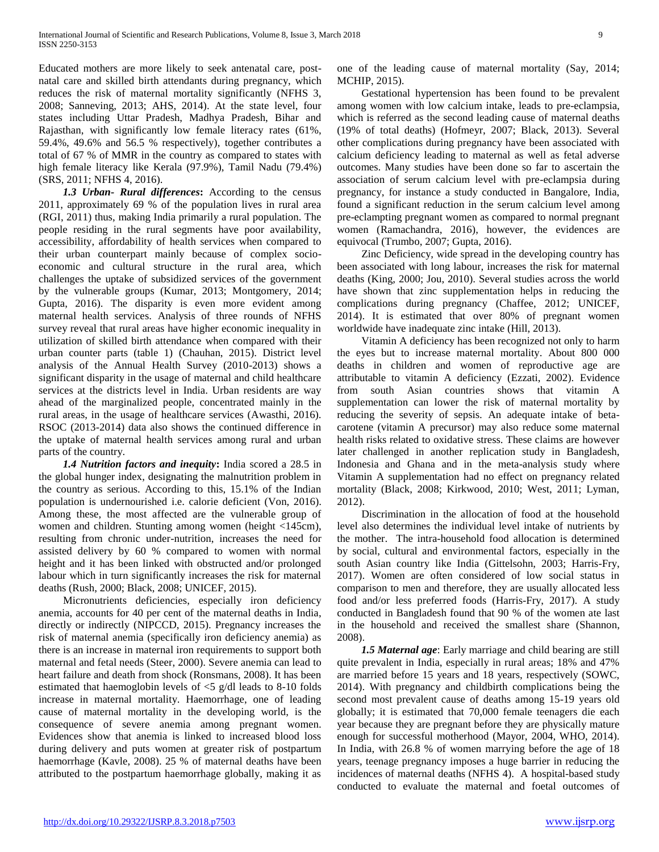Educated mothers are more likely to seek antenatal care, postnatal care and skilled birth attendants during pregnancy, which reduces the risk of maternal mortality significantly (NFHS 3, 2008; Sanneving, 2013; AHS, 2014). At the state level, four states including Uttar Pradesh, Madhya Pradesh, Bihar and Rajasthan, with significantly low female literacy rates (61%, 59.4%, 49.6% and 56.5 % respectively), together contributes a total of 67 % of MMR in the country as compared to states with high female literacy like Kerala (97.9%), Tamil Nadu (79.4%) (SRS, 2011; NFHS 4, 2016).

*1.3 Urban- Rural differences***:** According to the census 2011, approximately 69 % of the population lives in rural area (RGI, 2011) thus, making India primarily a rural population. The people residing in the rural segments have poor availability, accessibility, affordability of health services when compared to their urban counterpart mainly because of complex socioeconomic and cultural structure in the rural area, which challenges the uptake of subsidized services of the government by the vulnerable groups (Kumar, 2013; Montgomery, 2014; Gupta, 2016). The disparity is even more evident among maternal health services. Analysis of three rounds of NFHS survey reveal that rural areas have higher economic inequality in utilization of skilled birth attendance when compared with their urban counter parts (table 1) (Chauhan, 2015). District level analysis of the Annual Health Survey (2010-2013) shows a significant disparity in the usage of maternal and child healthcare services at the districts level in India. Urban residents are way ahead of the marginalized people, concentrated mainly in the rural areas, in the usage of healthcare services (Awasthi, 2016). RSOC (2013-2014) data also shows the continued difference in the uptake of maternal health services among rural and urban parts of the country.

*1.4 Nutrition factors and inequity***:** India scored a 28.5 in the global hunger index, designating the malnutrition problem in the country as serious. According to this, 15.1% of the Indian population is undernourished i.e. calorie deficient (Von, 2016). Among these, the most affected are the vulnerable group of women and children. Stunting among women (height <145cm), resulting from chronic under-nutrition, increases the need for assisted delivery by 60 % compared to women with normal height and it has been linked with obstructed and/or prolonged labour which in turn significantly increases the risk for maternal deaths (Rush, 2000; Black, 2008; UNICEF, 2015).

 Micronutrients deficiencies, especially iron deficiency anemia, accounts for 40 per cent of the maternal deaths in India, directly or indirectly (NIPCCD, 2015). Pregnancy increases the risk of maternal anemia (specifically iron deficiency anemia) as there is an increase in maternal iron requirements to support both maternal and fetal needs (Steer, 2000). Severe anemia can lead to heart failure and death from shock (Ronsmans, 2008). It has been estimated that haemoglobin levels of <5 g/dl leads to 8-10 folds increase in maternal mortality. Haemorrhage, one of leading cause of maternal mortality in the developing world, is the consequence of severe anemia among pregnant women. Evidences show that anemia is linked to increased blood loss during delivery and puts women at greater risk of postpartum haemorrhage (Kavle, 2008). 25 % of maternal deaths have been attributed to the postpartum haemorrhage globally, making it as

one of the leading cause of maternal mortality (Say, 2014; MCHIP, 2015).

 Gestational hypertension has been found to be prevalent among women with low calcium intake, leads to pre-eclampsia, which is referred as the second leading cause of maternal deaths (19% of total deaths) (Hofmeyr, 2007; Black, 2013). Several other complications during pregnancy have been associated with calcium deficiency leading to maternal as well as fetal adverse outcomes. Many studies have been done so far to ascertain the association of serum calcium level with pre-eclampsia during pregnancy, for instance a study conducted in Bangalore, India, found a significant reduction in the serum calcium level among pre-eclampting pregnant women as compared to normal pregnant women (Ramachandra, 2016), however, the evidences are equivocal (Trumbo, 2007; Gupta, 2016).

 Zinc Deficiency, wide spread in the developing country has been associated with long labour, increases the risk for maternal deaths (King, 2000; Jou, 2010). Several studies across the world have shown that zinc supplementation helps in reducing the complications during pregnancy (Chaffee, 2012; UNICEF, 2014). It is estimated that over 80% of pregnant women worldwide have inadequate zinc intake (Hill, 2013).

 Vitamin A deficiency has been recognized not only to harm the eyes but to increase maternal mortality. About 800 000 deaths in children and women of reproductive age are attributable to vitamin A deficiency (Ezzati, 2002). Evidence from south Asian countries shows that vitamin A supplementation can lower the risk of maternal mortality by reducing the severity of sepsis. An adequate intake of betacarotene (vitamin A precursor) may also reduce some maternal health risks related to oxidative stress. These claims are however later challenged in another replication study in Bangladesh, Indonesia and Ghana and in the meta-analysis study where Vitamin A supplementation had no effect on pregnancy related mortality (Black, 2008; Kirkwood, 2010; West, 2011; Lyman, 2012).

 Discrimination in the allocation of food at the household level also determines the individual level intake of nutrients by the mother. The intra-household food allocation is determined by social, cultural and environmental factors, especially in the south Asian country like India (Gittelsohn, 2003; Harris-Fry, 2017). Women are often considered of low social status in comparison to men and therefore, they are usually allocated less food and/or less preferred foods (Harris-Fry, 2017). A study conducted in Bangladesh found that 90 % of the women ate last in the household and received the smallest share (Shannon, 2008).

 *1.5 Maternal age*: Early marriage and child bearing are still quite prevalent in India, especially in rural areas; 18% and 47% are married before 15 years and 18 years, respectively (SOWC, 2014). With pregnancy and childbirth complications being the second most prevalent cause of deaths among 15-19 years old globally; it is estimated that 70,000 female teenagers die each year because they are pregnant before they are physically mature enough for successful motherhood (Mayor, 2004, WHO, 2014). In India, with 26.8 % of women marrying before the age of 18 years, teenage pregnancy imposes a huge barrier in reducing the incidences of maternal deaths (NFHS 4). A hospital-based study conducted to evaluate the maternal and foetal outcomes of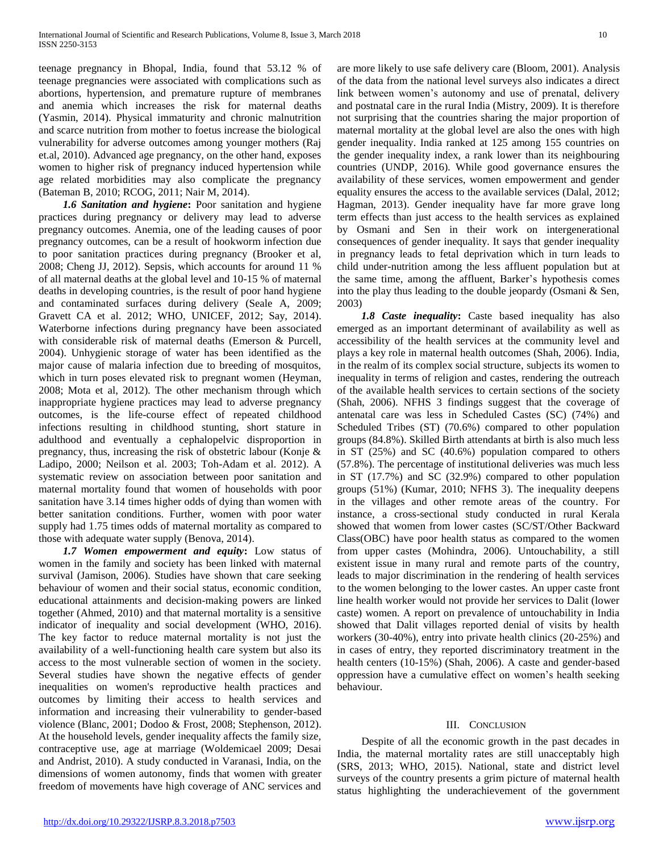teenage pregnancy in Bhopal, India, found that 53.12 % of teenage pregnancies were associated with complications such as abortions, hypertension, and premature rupture of membranes and anemia which increases the risk for maternal deaths (Yasmin, 2014). Physical immaturity and chronic malnutrition and scarce nutrition from mother to foetus increase the biological vulnerability for adverse outcomes among younger mothers (Raj et.al, 2010). Advanced age pregnancy, on the other hand, exposes women to higher risk of pregnancy induced hypertension while age related morbidities may also complicate the pregnancy (Bateman B, 2010; RCOG, 2011; Nair M, 2014).

 *1.6 Sanitation and hygiene***:** Poor sanitation and hygiene practices during pregnancy or delivery may lead to adverse pregnancy outcomes. Anemia, one of the leading causes of poor pregnancy outcomes, can be a result of hookworm infection due to poor sanitation practices during pregnancy (Brooker et al, 2008; Cheng JJ, 2012). Sepsis, which accounts for around 11 % of all maternal deaths at the global level and 10-15 % of maternal deaths in developing countries, is the result of poor hand hygiene and contaminated surfaces during delivery (Seale A, 2009; Gravett CA et al. 2012; WHO, UNICEF, 2012; Say, 2014). Waterborne infections during pregnancy have been associated with considerable risk of maternal deaths (Emerson & Purcell, 2004). Unhygienic storage of water has been identified as the major cause of malaria infection due to breeding of mosquitos, which in turn poses elevated risk to pregnant women (Heyman, 2008; Mota et al, 2012). The other mechanism through which inappropriate hygiene practices may lead to adverse pregnancy outcomes, is the life-course effect of repeated childhood infections resulting in childhood stunting, short stature in adulthood and eventually a cephalopelvic disproportion in pregnancy, thus, increasing the risk of obstetric labour (Konje & Ladipo, 2000; Neilson et al. 2003; Toh-Adam et al. 2012). A systematic review on association between poor sanitation and maternal mortality found that women of households with poor sanitation have 3.14 times higher odds of dying than women with better sanitation conditions. Further, women with poor water supply had 1.75 times odds of maternal mortality as compared to those with adequate water supply (Benova, 2014).

*1.7 Women empowerment and equity***:** Low status of women in the family and society has been linked with maternal survival (Jamison, 2006). Studies have shown that care seeking behaviour of women and their social status, economic condition, educational attainments and decision-making powers are linked together (Ahmed, 2010) and that maternal mortality is a sensitive indicator of inequality and social development (WHO, 2016). The key factor to reduce maternal mortality is not just the availability of a well-functioning health care system but also its access to the most vulnerable section of women in the society. Several studies have shown the negative effects of gender inequalities on women's reproductive health practices and outcomes by limiting their access to health services and information and increasing their vulnerability to gender-based violence (Blanc, 2001; Dodoo & Frost, 2008; Stephenson, 2012). At the household levels, gender inequality affects the family size, contraceptive use, age at marriage (Woldemicael 2009; Desai and Andrist, 2010). A study conducted in Varanasi, India, on the dimensions of women autonomy, finds that women with greater freedom of movements have high coverage of ANC services and

are more likely to use safe delivery care (Bloom, 2001). Analysis of the data from the national level surveys also indicates a direct link between women's autonomy and use of prenatal, delivery and postnatal care in the rural India (Mistry, 2009). It is therefore not surprising that the countries sharing the major proportion of maternal mortality at the global level are also the ones with high gender inequality. India ranked at 125 among 155 countries on the gender inequality index, a rank lower than its neighbouring countries (UNDP, 2016). While good governance ensures the availability of these services, women empowerment and gender equality ensures the access to the available services (Dalal, 2012; Hagman, 2013). Gender inequality have far more grave long term effects than just access to the health services as explained by Osmani and Sen in their work on intergenerational consequences of gender inequality. It says that gender inequality in pregnancy leads to fetal deprivation which in turn leads to child under-nutrition among the less affluent population but at the same time, among the affluent, Barker's hypothesis comes into the play thus leading to the double jeopardy (Osmani & Sen, 2003)

*1.8 Caste inequality***:** Caste based inequality has also emerged as an important determinant of availability as well as accessibility of the health services at the community level and plays a key role in maternal health outcomes (Shah, 2006). India, in the realm of its complex social structure, subjects its women to inequality in terms of religion and castes, rendering the outreach of the available health services to certain sections of the society (Shah, 2006). NFHS 3 findings suggest that the coverage of antenatal care was less in Scheduled Castes (SC) (74%) and Scheduled Tribes (ST) (70.6%) compared to other population groups (84.8%). Skilled Birth attendants at birth is also much less in ST (25%) and SC (40.6%) population compared to others (57.8%). The percentage of institutional deliveries was much less in ST (17.7%) and SC (32.9%) compared to other population groups (51%) (Kumar, 2010; NFHS 3). The inequality deepens in the villages and other remote areas of the country. For instance, a cross-sectional study conducted in rural Kerala showed that women from lower castes (SC/ST/Other Backward Class(OBC) have poor health status as compared to the women from upper castes (Mohindra, 2006). Untouchability, a still existent issue in many rural and remote parts of the country, leads to major discrimination in the rendering of health services to the women belonging to the lower castes. An upper caste front line health worker would not provide her services to Dalit (lower caste) women. A report on prevalence of untouchability in India showed that Dalit villages reported denial of visits by health workers (30-40%), entry into private health clinics (20-25%) and in cases of entry, they reported discriminatory treatment in the health centers (10-15%) (Shah, 2006). A caste and gender-based oppression have a cumulative effect on women's health seeking behaviour.

# III. CONCLUSION

 Despite of all the economic growth in the past decades in India, the maternal mortality rates are still unacceptably high (SRS, 2013; WHO, 2015). National, state and district level surveys of the country presents a grim picture of maternal health status highlighting the underachievement of the government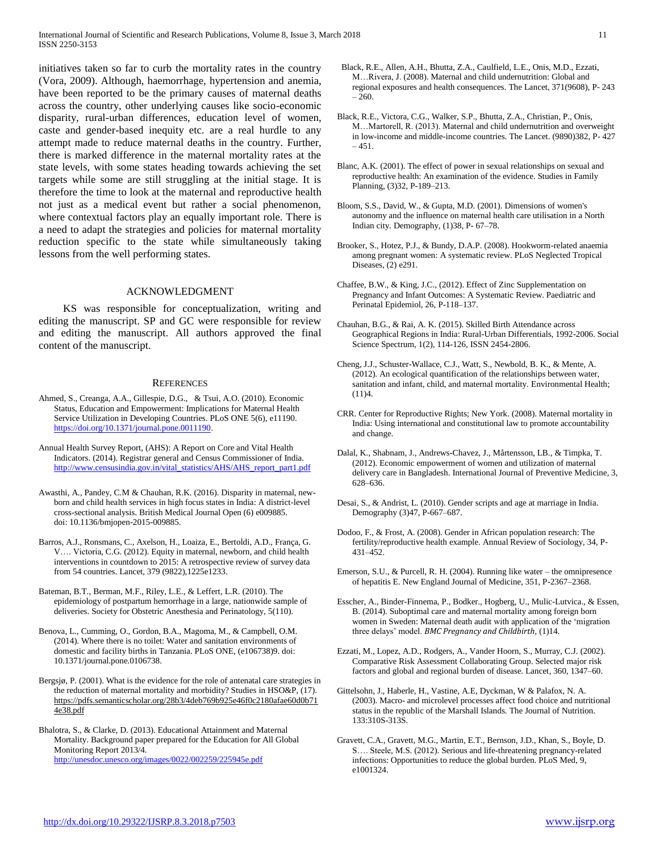initiatives taken so far to curb the mortality rates in the country (Vora, 2009). Although, haemorrhage, hypertension and anemia, have been reported to be the primary causes of maternal deaths across the country, other underlying causes like socio-economic disparity, rural-urban differences, education level of women, caste and gender-based inequity etc. are a real hurdle to any attempt made to reduce maternal deaths in the country. Further, there is marked difference in the maternal mortality rates at the state levels, with some states heading towards achieving the set targets while some are still struggling at the initial stage. It is therefore the time to look at the maternal and reproductive health not just as a medical event but rather a social phenomenon, where contextual factors play an equally important role. There is a need to adapt the strategies and policies for maternal mortality reduction specific to the state while simultaneously taking lessons from the well performing states.

#### ACKNOWLEDGMENT

 KS was responsible for conceptualization, writing and editing the manuscript. SP and GC were responsible for review and editing the manuscript. All authors approved the final content of the manuscript.

#### **REFERENCES**

- Ahmed, S., Creanga, A.A., Gillespie, D.G., & Tsui, A.O. (2010). Economic Status, Education and Empowerment: Implications for Maternal Health Service Utilization in Developing Countries. PLoS ONE 5(6), e11190. [https://doi.org/10.1371/journal.pone.0011190.](https://doi.org/10.1371/journal.pone.0011190)
- Annual Health Survey Report, (AHS): A Report on Core and Vital Health Indicators. (2014). Registrar general and Census Commissioner of India. [http://www.censusindia.gov.in/vital\\_statistics/AHS/AHS\\_report\\_part1.pdf](http://www.censusindia.gov.in/vital_statistics/AHS/AHS_report_part1.pdf)
- Awasthi, A., Pandey, C.M & Chauhan, R.K. (2016). Disparity in maternal, newborn and child health services in high focus states in India: A district-level cross-sectional analysis. British Medical Journal Open (6) e009885. doi: 10.1136/bmjopen-2015-009885.
- Barros, A.J., Ronsmans, C., Axelson, H., Loaiza, E., Bertoldi, A.D., França, G. V…. Victoria, C.G. (2012). Equity in maternal, newborn, and child health interventions in countdown to 2015: A retrospective review of survey data from 54 countries. Lancet, 379 (9822),1225e1233.
- Bateman, B.T., Berman, M.F., Riley, L.E., & Leffert, L.R. (2010). The epidemiology of postpartum hemorrhage in a large, nationwide sample of deliveries. Society for Obstetric Anesthesia and Perinatology, 5(110).
- Benova, L., Cumming, O., Gordon, B.A., Magoma, M., & Campbell, O.M. (2014). Where there is no toilet: Water and sanitation environments of domestic and facility births in Tanzania. PLoS ONE, (e106738)9. doi: 10.1371/journal.pone.0106738.
- Bergsjø, P. (2001). What is the evidence for the role of antenatal care strategies in the reduction of maternal mortality and morbidity? Studies in HSO&P, (17). [https://pdfs.semanticscholar.org/28b3/4deb769b925e46f0c2180afae60d0b71](https://pdfs.semanticscholar.org/28b3/4deb769b925e46f0c2180afae60d0b714e38.pdf) [4e38.pdf](https://pdfs.semanticscholar.org/28b3/4deb769b925e46f0c2180afae60d0b714e38.pdf)

Bhalotra, S., & Clarke, D. (2013). Educational Attainment and Maternal Mortality. Background paper prepared for the Education for All Global Monitoring Report 2013/4. <http://unesdoc.unesco.org/images/0022/002259/225945e.pdf>

- Black, R.E., Allen, A.H., Bhutta, Z.A., Caulfield, L.E., Onis, M.D., Ezzati, M…Rivera, J. (2008). Maternal and child undernutrition: Global and regional exposures and health consequences. The Lancet, 371(9608), P- 243 – 260.
- Black, R.E., Victora, C.G., Walker, S.P., Bhutta, Z.A., Christian, P., Onis, M…Martorell, R. (2013). Maternal and child undernutrition and overweight in low-income and middle-income countries. The Lancet. (9890)382, P- 427  $-451.$
- Blanc, A.K. (2001). The effect of power in sexual relationships on sexual and reproductive health: An examination of the evidence. Studies in Family Planning, (3)32, P-189–213.
- Bloom, S.S., David, W., & Gupta, M.D. (2001). Dimensions of women's autonomy and the influence on maternal health care utilisation in a North Indian city. Demography, (1)38, P- 67–78.
- Brooker, S., Hotez, P.J., & Bundy, D.A.P. (2008). Hookworm-related anaemia among pregnant women: A systematic review. PLoS Neglected Tropical Diseases, (2) e291.
- Chaffee, B.W., & King, J.C., (2012). Effect of Zinc Supplementation on Pregnancy and Infant Outcomes: A Systematic Review. Paediatric and Perinatal Epidemiol, 26, P-118–137.
- Chauhan, B.G., & Rai, A. K. (2015). Skilled Birth Attendance across Geographical Regions in India: Rural-Urban Differentials, 1992-2006. Social Science Spectrum, 1(2), 114-126, ISSN 2454-2806.
- Cheng, J.J., Schuster-Wallace, C.J., Watt, S., Newbold, B. K., & Mente, A. (2012). An ecological quantification of the relationships between water, sanitation and infant, child, and maternal mortality. Environmental Health; (11)4.
- CRR. Center for Reproductive Rights; New York. (2008). Maternal mortality in India: Using international and constitutional law to promote accountability and change.
- Dalal, K., Shabnam, J., Andrews-Chavez, J., Mårtensson, LB., & Timpka, T. (2012). Economic empowerment of women and utilization of maternal delivery care in Bangladesh. International Journal of Preventive Medicine, 3, 628–636.
- Desai, S., & Andrist, L. (2010). Gender scripts and age at marriage in India. Demography (3)47, P-667–687.
- Dodoo, F., & Frost, A. (2008). Gender in African population research: The fertility/reproductive health example. Annual Review of Sociology, 34, P-431–452.
- Emerson, S.U., & Purcell, R. H. (2004). Running like water the omnipresence of hepatitis E. New England Journal of Medicine, 351, P-2367–2368.
- Esscher, A., Binder-Finnema, P., Bodker., Hogberg, U., Mulic-Lutvica., & Essen, B. (2014). Suboptimal care and maternal mortality among foreign born women in Sweden: Maternal death audit with application of the 'migration three delays' model. *BMC Pregnancy and Childbirth*, (1)14.
- Ezzati, M., Lopez, A.D., Rodgers, A., Vander Hoorn, S., Murray, C.J. (2002). Comparative Risk Assessment Collaborating Group. Selected major risk factors and global and regional burden of disease. Lancet, 360, 1347–60.
- Gittelsohn, J., Haberle, H., Vastine, A.E, Dyckman, W & Palafox, N. A. (2003). Macro- and microlevel processes affect food choice and nutritional status in the republic of the Marshall Islands. The Journal of Nutrition. 133:310S-313S.
- Gravett, C.A., Gravett, M.G., Martin, E.T., Bernson, J.D., Khan, S., Boyle, D. S…. Steele, M.S. (2012). Serious and life-threatening pregnancy-related infections: Opportunities to reduce the global burden. PLoS Med, 9, e1001324.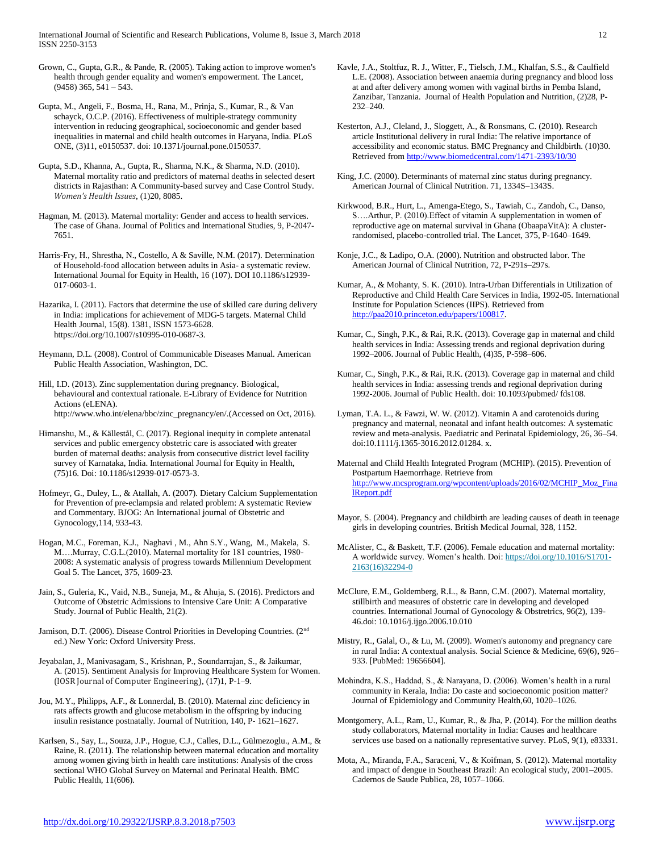International Journal of Scientific and Research Publications, Volume 8, Issue 3, March 2018 12 ISSN 2250-3153

- Grown, C., Gupta, G.R., & Pande, R. (2005). Taking action to improve women's health through gender equality and women's empowerment. The Lancet, (9458) 365, 541 – 543.
- Gupta, M., Angeli, F., Bosma, H., Rana, M., Prinja, S., Kumar, R., & Van schayck, O.C.P. (2016). Effectiveness of multiple-strategy community intervention in reducing geographical, socioeconomic and gender based inequalities in maternal and child health outcomes in Haryana, India. PLoS ONE, (3)11, e0150537. doi: 10.1371/journal.pone.0150537.
- Gupta, S.D., Khanna, A., Gupta, R., Sharma, N.K., & Sharma, N.D. (2010). Maternal mortality ratio and predictors of maternal deaths in selected desert districts in Rajasthan: A Community-based survey and Case Control Study. *Women's Health Issues*, (1)20, 8085.
- Hagman, M. (2013). Maternal mortality: Gender and access to health services. The case of Ghana. Journal of Politics and International Studies, 9, P-2047- 7651.
- Harris-Fry, H., Shrestha, N., Costello, A & Saville, N.M. (2017). Determination of Household-food allocation between adults in Asia- a systematic review. International Journal for Equity in Health, 16 (107). DOI 10.1186/s12939- 017-0603-1.
- Hazarika, I. (2011). Factors that determine the use of skilled care during delivery in India: implications for achievement of MDG-5 targets. Maternal Child Health Journal, 15(8). 1381, ISSN 1573-6628. [https://doi.org/10.1007/s10995-010-0687-3.](https://doi.org/10.1007/s10995-010-0687-3)
- Heymann, D.L. (2008). Control of Communicable Diseases Manual. American Public Health Association, Washington, DC.
- Hill, I.D. (2013). Zinc supplementation during pregnancy. Biological, behavioural and contextual rationale. E-Library of Evidence for Nutrition Actions (eLENA). http://www.who.int/elena/bbc/zinc\_pregnancy/en/.(Accessed on Oct, 2016).
- Himanshu, M., & Källestål, C. (2017). Regional inequity in complete antenatal services and public emergency obstetric care is associated with greater burden of maternal deaths: analysis from consecutive district level facility survey of Karnataka, India. International Journal for Equity in Health, (75)16. Doi: 10.1186/s12939-017-0573-3.
- Hofmeyr, G., Duley, L., & Atallah, A. (2007). Dietary Calcium Supplementation for Prevention of pre-eclampsia and related problem: A systematic Review and Commentary. BJOG: An International journal of Obstetric and Gynocology,114, 933-43.
- Hogan, M.C., Foreman, K.J., Naghavi , M.[, Ahn S.Y.](https://www.ncbi.nlm.nih.gov/pubmed/?term=Ahn%20SY%5BAuthor%5D&cauthor=true&cauthor_uid=20382417)[, Wang, M.](https://www.ncbi.nlm.nih.gov/pubmed/?term=Wang%20M%5BAuthor%5D&cauthor=true&cauthor_uid=20382417)[, Makela, S.](https://www.ncbi.nlm.nih.gov/pubmed/?term=Makela%20SM%5BAuthor%5D&cauthor=true&cauthor_uid=20382417)  [M…](https://www.ncbi.nlm.nih.gov/pubmed/?term=Makela%20SM%5BAuthor%5D&cauthor=true&cauthor_uid=20382417).Murray, C.G.L.(2010). Maternal mortality for 181 countries, 1980- 2008: A systematic analysis of progress towards Millennium Development Goal 5. The Lancet, 375, 1609-23.
- Jain, S., Guleria, K., Vaid, N.B., Suneja, M., & Ahuja, S. (2016). Predictors and Outcome of Obstetric Admissions to Intensive Care Unit: A Comparative Study. Journal of Public Health, 21(2).
- Jamison, D.T. (2006). Disease Control Priorities in Developing Countries. (2<sup>nd</sup> ed.) New York: Oxford University Press.
- Jeyabalan, J., Manivasagam, S., Krishnan, P., Soundarrajan, S., & Jaikumar, A. (2015). Sentiment Analysis for Improving Healthcare System for Women. (IOSR Journal of Computer Engineering)*,* (17)1, P-1–9.
- Jou, M.Y., Philipps, A.F., & Lonnerdal, B. (2010). Maternal zinc deficiency in rats affects growth and glucose metabolism in the offspring by inducing insulin resistance postnatally. Journal of Nutrition, 140, P- 1621–1627.
- Karlsen, S., Say, L., Souza, J.P., Hogue, C.J., Calles, D.L., Gülmezoglu., A.M., & Raine, R. (2011). The relationship between maternal education and mortality among women giving birth in health care institutions: Analysis of the cross sectional WHO Global Survey on Maternal and Perinatal Health. BMC Public Health, 11(606).
- Kavle, J.A., Stoltfuz, R. J., Witter, F., Tielsch, J.M., Khalfan, S.S., & Caulfield L.E. (2008). Association between anaemia during pregnancy and blood loss at and after delivery among women with vaginal births in Pemba Island, Zanzibar, Tanzania. Journal of Health Population and Nutrition, (2)28, P-232–240.
- Kesterton, A.J., Cleland, J., Sloggett, A., & Ronsmans, C. (2010). Research article Institutional delivery in rural India: The relative importance of accessibility and economic status. BMC Pregnancy and Childbirth. (10)30. Retrieved from<http://www.biomedcentral.com/1471-2393/10/30>
- King, J.C. (2000). Determinants of maternal zinc status during pregnancy. American Journal of Clinical Nutrition. 71, 1334S–1343S.
- Kirkwood, B.R., Hurt, L., Amenga-Etego, S., Tawiah, C., Zandoh, C., Danso, S….Arthur, P. (2010).Effect of vitamin A supplementation in women of reproductive age on maternal survival in Ghana (ObaapaVitA): A clusterrandomised, placebo-controlled trial. The Lancet, 375, P-1640–1649.
- Konje, J.C., & Ladipo, O.A. (2000). Nutrition and obstructed labor. The American Journal of Clinical Nutrition, 72, P-291s–297s.
- Kumar, A., & Mohanty, S. K. (2010). Intra-Urban Differentials in Utilization of Reproductive and Child Health Care Services in India, 1992-05. International Institute for Population Sciences (IIPS). Retrieved from [http://paa2010.princeton.edu/papers/100817.](http://paa2010.princeton.edu/papers/100817)
- Kumar, C., Singh, P.K., & Rai, R.K. (2013). Coverage gap in maternal and child health services in India: Assessing trends and regional deprivation during 1992–2006. Journal of Public Health, (4)35, P-598–606.
- Kumar, C., Singh, P.K., & Rai, R.K. (2013). Coverage gap in maternal and child health services in India: assessing trends and regional deprivation during 1992-2006. Journal of Public Health. doi: 10.1093/pubmed/ fds108.
- Lyman, T.A. L., & Fawzi, W. W. (2012). Vitamin A and carotenoids during pregnancy and maternal, neonatal and infant health outcomes: A systematic review and meta-analysis. Paediatric and Perinatal Epidemiology, 26, 36–54. doi:10.1111/j.1365-3016.2012.01284. x.
- Maternal and Child Health Integrated Program (MCHIP). (2015). Prevention of Postpartum Haemorrhage. Retrieve from [http://www.mcsprogram.org/wpcontent/uploads/2016/02/MCHIP\\_Moz\\_Fina](http://www.mcsprogram.org/wpcontent/uploads/2016/02/MCHIP_Moz_FinalReport.pdf) [lReport.pdf](http://www.mcsprogram.org/wpcontent/uploads/2016/02/MCHIP_Moz_FinalReport.pdf)
- Mayor, S. (2004). Pregnancy and childbirth are leading causes of death in teenage girls in developing countries. British Medical Journal, 328, 1152.
- McAlister, C., & Baskett, T.F. (2006). Female education and maternal mortality: A worldwide survey. Women's health. Doi: [https://doi.org/10.1016/S1701-](https://doi.org/10.1016/S1701-2163(16)32294-0) [2163\(16\)32294-0](https://doi.org/10.1016/S1701-2163(16)32294-0)
- McClure, E.M., Goldemberg, R.L., & Bann, C.M. (2007). Maternal mortality, stillbirth and measures of obstetric care in developing and developed countries. International Journal of Gynocology & Obstretrics, 96(2), 139- 46.doi: 10.1016/j.ijgo.2006.10.010
- Mistry, R., Galal, O., & Lu, M. (2009). Women's autonomy and pregnancy care in rural India: A contextual analysis. Social Science & Medicine, 69(6), 926– 933. [PubMed: 19656604].
- Mohindra, K.S., Haddad, S., & Narayana, D. (2006). Women's health in a rural community in Kerala, India: Do caste and socioeconomic position matter? Journal of Epidemiology and Community Health,60, 1020–1026.
- Montgomery, A.L., Ram, U., Kumar, R., & Jha, P. (2014). For the million deaths study collaborators, Maternal mortality in India: Causes and healthcare services use based on a nationally representative survey. PLoS, 9(1), e83331.
- Mota, A., Miranda, F.A., Saraceni, V., & Koifman, S. (2012). Maternal mortality and impact of dengue in Southeast Brazil: An ecological study, 2001–2005. Cadernos de Saude Publica, 28, 1057–1066.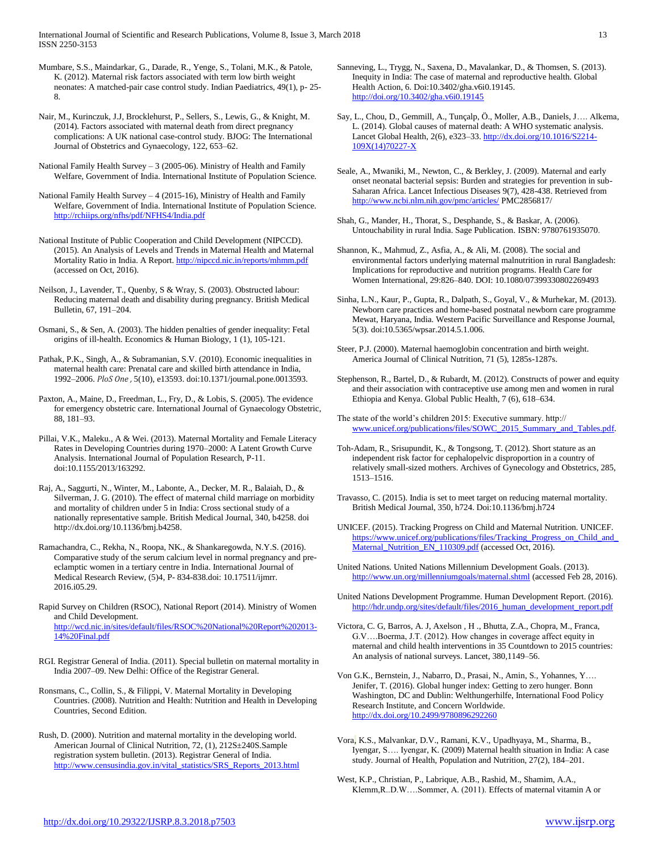International Journal of Scientific and Research Publications, Volume 8, Issue 3, March 2018 13 ISSN 2250-3153

Mumbare, S.S., Maindarkar, G., Darade, R., Yenge, S., Tolani, M.K., & Patole, K. (2012). Maternal risk factors associated with term low birth weight neonates: A matched-pair case control study. Indian Paediatrics, 49(1), p- 25- 8.

Nair, M., Kurinczuk, J.J, Brocklehurst, P., Sellers, S., Lewis, G., & Knight, M. (2014). Factors associated with maternal death from direct pregnancy complications: A UK national case-control study. BJOG: The International Journal of Obstetrics and Gynaecology, 122, 653–62.

National Family Health Survey  $-3$  (2005-06). Ministry of Health and Family Welfare, Government of India. International Institute of Population Science.

National Family Health Survey – 4 (2015-16), Ministry of Health and Family Welfare, Government of India. International Institute of Population Science. <http://rchiips.org/nfhs/pdf/NFHS4/India.pdf>

National Institute of Public Cooperation and Child Development (NIPCCD). (2015). An Analysis of Levels and Trends in Maternal Health and Maternal Mortality Ratio in India. A Report.<http://nipccd.nic.in/reports/mhmm.pdf> (accessed on Oct, 2016).

Neilson, J., Lavender, T., Quenby, S & Wray, S. (2003). Obstructed labour: Reducing maternal death and disability during pregnancy. British Medical Bulletin, 67, 191–204.

Osmani, S., & Sen, A. (2003). The hidden penalties of gender inequality: Fetal origins of ill-health. Economics & Human Biology, 1 (1), 105-121.

Pathak, P.K., Singh, A., & Subramanian, S.V. (2010). Economic inequalities in maternal health care: Prenatal care and skilled birth attendance in India, 1992–2006. *PloS One ,* 5(10), e13593. doi:10.1371/journal.pone.0013593.

Paxton, A., Maine, D., Freedman, L., Fry, D., & Lobis, S. (2005). The evidence for emergency obstetric care. International Journal of Gynaecology Obstetric, 88, 181–93.

Pillai, V.K., Maleku., A & Wei. (2013). Maternal Mortality and Female Literacy Rates in Developing Countries during 1970–2000: A Latent Growth Curve Analysis. International Journal of Population Research, P-11. doi:10.1155/2013/163292.

Raj, A., Saggurti, N., Winter, M., Labonte, A., Decker, M. R., Balaiah, D., & Silverman, J. G. (2010). The effect of maternal child marriage on morbidity and mortality of children under 5 in India: Cross sectional study of a nationally representative sample. British Medical Journal, 340, b4258. doi [http://dx.doi.org/10.1136/bmj.b4258.](http://dx.doi.org/10.1136/bmj.b4258)

Ramachandra, C., Rekha, N., Roopa, NK., & Shankaregowda, N.Y.S. (2016). Comparative study of the serum calcium level in normal pregnancy and preeclamptic women in a tertiary centre in India. International Journal of Medical Research Review, (5)4, P- 834-838.doi: 10.17511/ijmrr. 2016.i05.29.

Rapid Survey on Children (RSOC), National Report (2014). Ministry of Women and Child Development. [http://wcd.nic.in/sites/default/files/RSOC%20National%20Report%202013-](http://wcd.nic.in/sites/default/files/RSOC%20National%20Report%202013-14%20Final.pdf) [14%20Final.pdf](http://wcd.nic.in/sites/default/files/RSOC%20National%20Report%202013-14%20Final.pdf)

RGI. Registrar General of India. (2011). Special bulletin on maternal mortality in India 2007–09. New Delhi: Office of the Registrar General.

Ronsmans, C., Collin, S., & Filippi, V. Maternal Mortality in Developing Countries. (2008). Nutrition and Health: Nutrition and Health in Developing Countries, Second Edition.

Rush, D. (2000). Nutrition and maternal mortality in the developing world. American Journal of Clinical Nutrition, 72, (1), 212S±240S.Sample registration system bulletin. (2013). Registrar General of India. [http://www.censusindia.gov.in/vital\\_statistics/SRS\\_Reports\\_2013.html](http://www.censusindia.gov.in/vital_statistics/SRS_Reports_2013.html) Sanneving, L., Trygg, N., Saxena, D., Mavalankar, D., & Thomsen, S. (2013). Inequity in India: The case of maternal and reproductive health. Global Health Action, 6. Doi:10.3402/gha.v6i0.19145. <http://doi.org/10.3402/gha.v6i0.19145>

- Say, L., Chou, D., Gemmill, A., Tunçalp, Ö., Moller, A.B., Daniels, J…. Alkema, L. (2014). Global causes of maternal death: A WHO systematic analysis. Lancet Global Health, 2(6), e323–33[. http://dx.doi.org/10.1016/S2214-](http://dx.doi.org/10.1016/S2214-109X(14)70227-X) [109X\(14\)70227-X](http://dx.doi.org/10.1016/S2214-109X(14)70227-X)
- Seale, A., Mwaniki, M., Newton, C., & Berkley, J. (2009). Maternal and early onset neonatal bacterial sepsis: Burden and strategies for prevention in sub-Saharan Africa. Lancet Infectious Diseases 9(7), 428-438. Retrieved from <http://www.ncbi.nlm.nih.gov/pmc/articles/> PMC2856817/
- Shah, G., Mander, H., Thorat, S., Desphande, S., & Baskar, A. (2006). Untouchability in rural India. Sage Publication. ISBN: 9780761935070.
- Shannon, K., Mahmud, Z., Asfia, A., & Ali, M. (2008). The social and environmental factors underlying maternal malnutrition in rural Bangladesh: Implications for reproductive and nutrition programs. Health Care for Women International, 29:826–840. DOI: 10.1080/07399330802269493
- Sinha, L.N., Kaur, P., Gupta, R., Dalpath, S., Goyal, V., & Murhekar, M. (2013). Newborn care practices and home-based postnatal newborn care programme Mewat, Haryana, India. Western Pacific Surveillance and Response Journal, 5(3). doi:10.5365/wpsar.2014.5.1.006.
- Steer, P.J. (2000). Maternal haemoglobin concentration and birth weight. America Journal of Clinical Nutrition, 71 (5), 1285s-1287s.
- Stephenson, R., Bartel, D., & Rubardt, M. (2012). Constructs of power and equity and their association with contraceptive use among men and women in rural Ethiopia and Kenya. Global Public Health, 7 (6), 618–634.

The state of the world's children 2015: Executive summary. http:// [www.unicef.org/publications/files/SOWC\\_2015\\_Summary\\_and\\_Tables.pdf.](http://www.unicef.org/publications/files/SOWC_2015_Summary_and_Tables.pdf)

- Toh-Adam, R., Srisupundit, K., & Tongsong, T. (2012). Short stature as an independent risk factor for cephalopelvic disproportion in a country of relatively small-sized mothers. Archives of Gynecology and Obstetrics, 285, 1513–1516.
- Travasso, C. (2015). India is set to meet target on reducing maternal mortality. British Medical Journal, 350, h724. Doi:10.1136/bmj.h724
- UNICEF. (2015). Tracking Progress on Child and Maternal Nutrition. UNICEF. https://www.unicef.org/publications/files/Tracking\_Progress\_on\_Child\_and [Maternal\\_Nutrition\\_EN\\_110309.pdf](https://www.unicef.org/publications/files/Tracking_Progress_on_Child_and_Maternal_Nutrition_EN_110309.pdf) (accessed Oct, 2016).

United Nations. United Nations Millennium Development Goals. (2013). <http://www.un.org/millenniumgoals/maternal.shtml> (accessed Feb 28, 2016).

United Nations Development Programme. Human Development Report. (2016). [http://hdr.undp.org/sites/default/files/2016\\_human\\_development\\_report.pdf](http://hdr.undp.org/sites/default/files/2016_human_development_report.pdf)

Victora, C. G, Barros, A. J, Axelson , H ., Bhutta, Z.A., Chopra, M., Franca, G.V….Boerma, J.T. (2012). How changes in coverage affect equity in maternal and child health interventions in 35 Countdown to 2015 countries: An analysis of national surveys. Lancet, 380,1149–56.

Von G.K., Bernstein, J., Nabarro, D., Prasai, N., Amin, S., Yohannes, Y…. Jenifer, T. (2016). Global hunger index: Getting to zero hunger. Bonn Washington, DC and Dublin: Welthungerhilfe, International Food Policy Research Institute, and Concern Worldwide. <http://dx.doi.org/10.2499/9780896292260>

- Vora, K.S., Malvankar, D.V., Ramani, K.V., Upadhyaya, M., Sharma, B., Iyengar, S…. Iyengar, K. (2009) Maternal health situation in India: A case study. Journal of Health, Population and Nutrition, 27(2), 184–201.
- West, K.P., Christian, P., Labrique, A.B., Rashid, M., Shamim, A.A., Klemm,R..D.W….Sommer, A. (2011). Effects of maternal vitamin A or